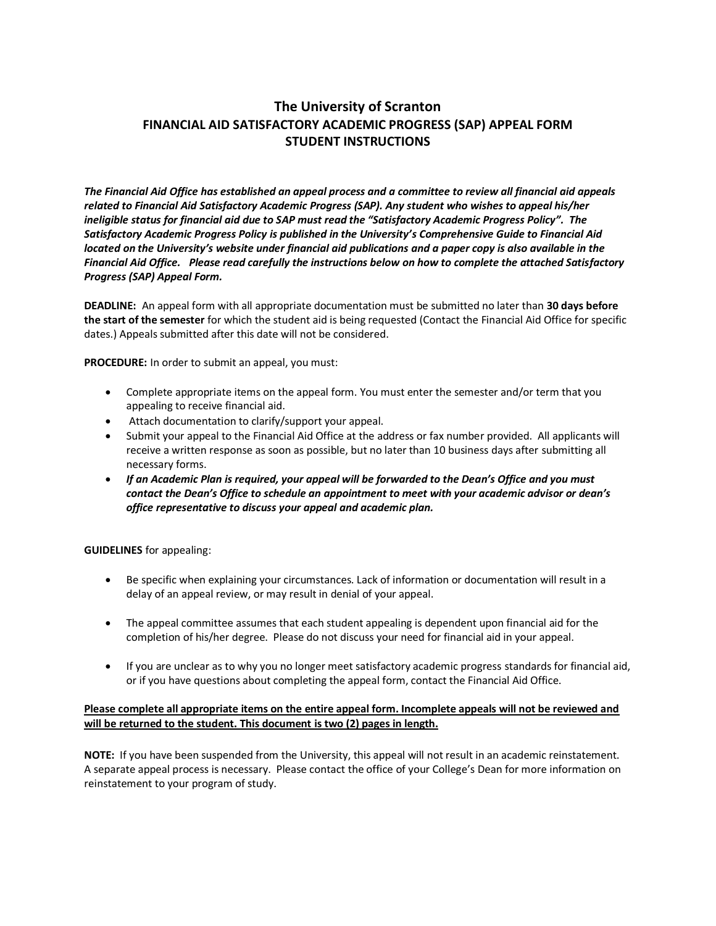# **The University of Scranton FINANCIAL AID SATISFACTORY ACADEMIC PROGRESS (SAP) APPEAL FORM STUDENT INSTRUCTIONS**

*The Financial Aid Office has established an appeal process and a committee to review all financial aid appeals related to Financial Aid Satisfactory Academic Progress (SAP). Any student who wishes to appeal his/her ineligible status for financial aid due to SAP must read the "Satisfactory Academic Progress Policy". The Satisfactory Academic Progress Policy is published in the University's Comprehensive Guide to Financial Aid located on the University's website under financial aid publications and a paper copy is also available in the Financial Aid Office. Please read carefully the instructions below on how to complete the attached Satisfactory Progress (SAP) Appeal Form.*

**DEADLINE:** An appeal form with all appropriate documentation must be submitted no later than **30 days before the start of the semester** for which the student aid is being requested (Contact the Financial Aid Office for specific dates.) Appeals submitted after this date will not be considered.

**PROCEDURE:** In order to submit an appeal, you must:

- Complete appropriate items on the appeal form. You must enter the semester and/or term that you appealing to receive financial aid.
- Attach documentation to clarify/support your appeal.
- Submit your appeal to the Financial Aid Office at the address or fax number provided. All applicants will receive a written response as soon as possible, but no later than 10 business days after submitting all necessary forms.
- *If an Academic Plan is required, your appeal will be forwarded to the Dean's Office and you must contact the Dean's Office to schedule an appointment to meet with your academic advisor or dean's office representative to discuss your appeal and academic plan.*

**GUIDELINES** for appealing:

- Be specific when explaining your circumstances. Lack of information or documentation will result in a delay of an appeal review, or may result in denial of your appeal.
- The appeal committee assumes that each student appealing is dependent upon financial aid for the completion of his/her degree. Please do not discuss your need for financial aid in your appeal.
- If you are unclear as to why you no longer meet satisfactory academic progress standards for financial aid, or if you have questions about completing the appeal form, contact the Financial Aid Office.

### **Please complete all appropriate items on the entire appeal form. Incomplete appeals will not be reviewed and will be returned to the student. This document is two (2) pages in length.**

**NOTE:** If you have been suspended from the University, this appeal will not result in an academic reinstatement. A separate appeal process is necessary. Please contact the office of your College's Dean for more information on reinstatement to your program of study.